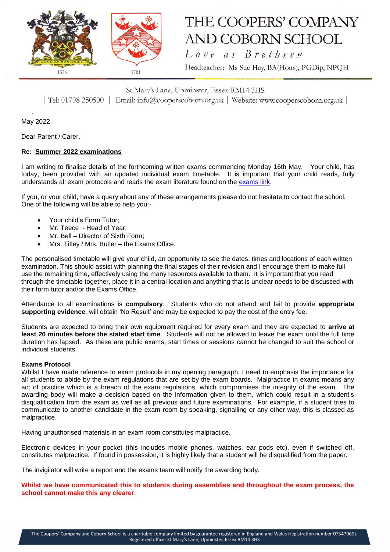

# THE COOPERS' COMPANY AND COBORN SCHOOL

Love as Brethren

Headteacher: Ms Sue Hay, BA(Hons), PGDip, NPQH

St Mary's Lane, Upminster, Essex RM14 3HS

| Tel: 01708 250500 | Email: info@cooperscoborn.org.uk | Website: www.cooperscoborn.org.uk |

May 2022

Dear Parent / Carer,

## **Re: Summer 2022 examinations**

I am writing to finalise details of the forthcoming written exams commencing Monday 16th May. Your child, has today, been provided with an updated individual exam timetable. It is important that your child reads, fully understands all exam protocols and reads the exam literature found on the [exams link.](https://www.cooperscoborn.org.uk/examinations/)

If you, or your child, have a query about any of these arrangements please do not hesitate to contact the school. One of the following will be able to help you:-

- Your child's Form Tutor;
- Mr. Teece Head of Year;
- Mr. Bell Director of Sixth Form;
- Mrs. Titley / Mrs. Butler the Exams Office.

The personalised timetable will give your child, an opportunity to see the dates, times and locations of each written examination. This should assist with planning the final stages of their revision and I encourage them to make full use the remaining time, effectively using the many resources available to them. It is important that you read through the timetable together, place it in a central location and anything that is unclear needs to be discussed with their form tutor and/or the Exams Office.

Attendance to all examinations is **compulsory**. Students who do not attend and fail to provide **appropriate supporting evidence**, will obtain 'No Result' and may be expected to pay the cost of the entry fee.

Students are expected to bring their own equipment required for every exam and they are expected to **arrive at least 20 minutes before the stated start time**. Students will not be allowed to leave the exam until the full time duration has lapsed. As these are public exams, start times or sessions cannot be changed to suit the school or individual students.

## **Exams Protocol**

Whilst I have made reference to exam protocols in my opening paragraph, I need to emphasis the importance for all students to abide by the exam regulations that are set by the exam boards. Malpractice in exams means any act of practice which is a breach of the exam regulations, which compromises the integrity of the exam. The awarding body will make a decision based on the information given to them, which could result in a student's disqualification from the exam as well as all previous and future examinations. For example, if a student tries to communicate to another candidate in the exam room by speaking, signalling or any other way, this is classed as malpractice.

Having unauthorised materials in an exam room constitutes malpractice.

Electronic devices in your pocket (this includes mobile phones, watches, ear pods etc), even if switched off, constitutes malpractice. If found in possession, it is highly likely that a student will be disqualified from the paper.

The invigilator will write a report and the exams team will notify the awarding body.

**Whilst we have communicated this to students during assemblies and throughout the exam process, the school cannot make this any clearer**.